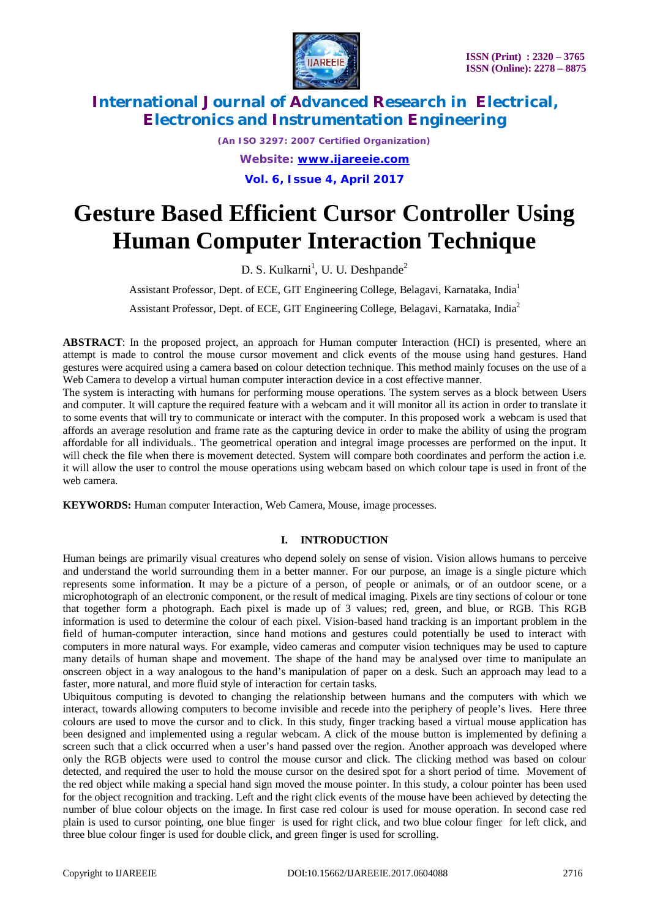

*(An ISO 3297: 2007 Certified Organization) Website: [www.ijareeie.com](http://www.ijareeie.com)* **Vol. 6, Issue 4, April 2017**

# **Gesture Based Efficient Cursor Controller Using Human Computer Interaction Technique**

D. S. Kulkarni<sup>1</sup>, U. U. Deshpande<sup>2</sup>

Assistant Professor, Dept. of ECE, GIT Engineering College, Belagavi, Karnataka, India<sup>1</sup>

Assistant Professor, Dept. of ECE, GIT Engineering College, Belagavi, Karnataka, India<sup>2</sup>

**ABSTRACT**: In the proposed project, an approach for Human computer Interaction (HCI) is presented, where an attempt is made to control the mouse cursor movement and click events of the mouse using hand gestures. Hand gestures were acquired using a camera based on colour detection technique. This method mainly focuses on the use of a Web Camera to develop a virtual human computer interaction device in a cost effective manner.

The system is interacting with humans for performing mouse operations. The system serves as a block between Users and computer. It will capture the required feature with a webcam and it will monitor all its action in order to translate it to some events that will try to communicate or interact with the computer. In this proposed work a webcam is used that affords an average resolution and frame rate as the capturing device in order to make the ability of using the program affordable for all individuals.. The geometrical operation and integral image processes are performed on the input. It will check the file when there is movement detected. System will compare both coordinates and perform the action i.e. it will allow the user to control the mouse operations using webcam based on which colour tape is used in front of the web camera.

**KEYWORDS:** Human computer Interaction, Web Camera, Mouse, image processes.

#### **I. INTRODUCTION**

Human beings are primarily visual creatures who depend solely on sense of vision. Vision allows humans to perceive and understand the world surrounding them in a better manner. For our purpose, an image is a single picture which represents some information. It may be a picture of a person, of people or animals, or of an outdoor scene, or a microphotograph of an electronic component, or the result of medical imaging. Pixels are tiny sections of colour or tone that together form a photograph. Each pixel is made up of 3 values; red, green, and blue, or RGB. This RGB information is used to determine the colour of each pixel. Vision-based hand tracking is an important problem in the field of human-computer interaction, since hand motions and gestures could potentially be used to interact with computers in more natural ways. For example, video cameras and computer vision techniques may be used to capture many details of human shape and movement. The shape of the hand may be analysed over time to manipulate an onscreen object in a way analogous to the hand's manipulation of paper on a desk. Such an approach may lead to a faster, more natural, and more fluid style of interaction for certain tasks.

Ubiquitous computing is devoted to changing the relationship between humans and the computers with which we interact, towards allowing computers to become invisible and recede into the periphery of people's lives. Here three colours are used to move the cursor and to click. In this study, finger tracking based a virtual mouse application has been designed and implemented using a regular webcam. A click of the mouse button is implemented by defining a screen such that a click occurred when a user's hand passed over the region. Another approach was developed where only the RGB objects were used to control the mouse cursor and click. The clicking method was based on colour detected, and required the user to hold the mouse cursor on the desired spot for a short period of time. Movement of the red object while making a special hand sign moved the mouse pointer. In this study, a colour pointer has been used for the object recognition and tracking. Left and the right click events of the mouse have been achieved by detecting the number of blue colour objects on the image. In first case red colour is used for mouse operation. In second case red plain is used to cursor pointing, one blue finger is used for right click, and two blue colour finger for left click, and three blue colour finger is used for double click, and green finger is used for scrolling.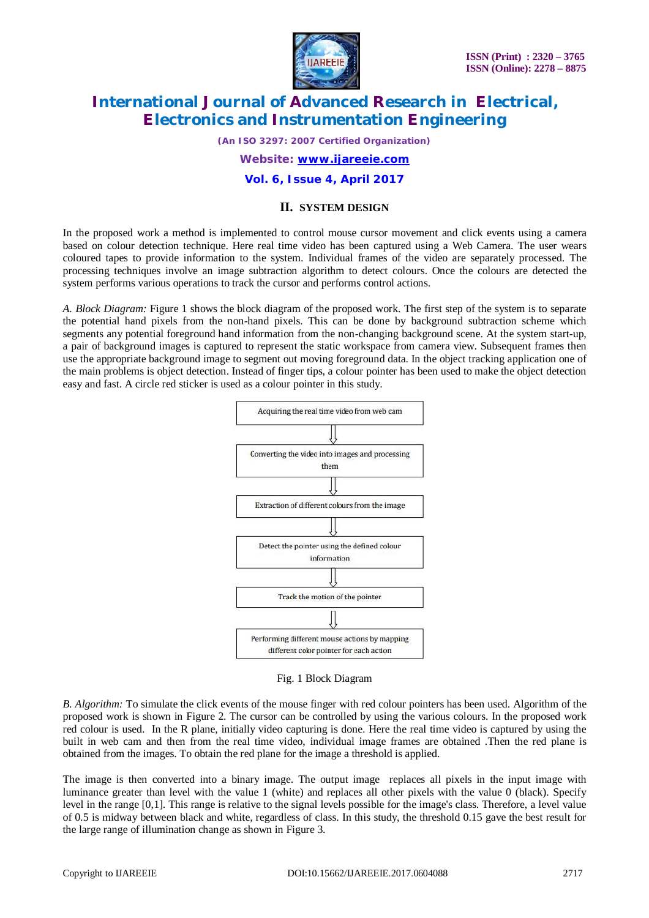

*(An ISO 3297: 2007 Certified Organization)*

*Website: [www.ijareeie.com](http://www.ijareeie.com)*

#### **Vol. 6, Issue 4, April 2017**

#### **II. SYSTEM DESIGN**

In the proposed work a method is implemented to control mouse cursor movement and click events using a camera based on colour detection technique. Here real time video has been captured using a Web Camera. The user wears coloured tapes to provide information to the system. Individual frames of the video are separately processed. The processing techniques involve an image subtraction algorithm to detect colours. Once the colours are detected the system performs various operations to track the cursor and performs control actions.

*A. Block Diagram:* Figure 1 shows the block diagram of the proposed work. The first step of the system is to separate the potential hand pixels from the non-hand pixels. This can be done by background subtraction scheme which segments any potential foreground hand information from the non-changing background scene. At the system start-up, a pair of background images is captured to represent the static workspace from camera view. Subsequent frames then use the appropriate background image to segment out moving foreground data. In the object tracking application one of the main problems is object detection. Instead of finger tips, a colour pointer has been used to make the object detection easy and fast. A circle red sticker is used as a colour pointer in this study.



Fig. 1 Block Diagram

*B. Algorithm:* To simulate the click events of the mouse finger with red colour pointers has been used. Algorithm of the proposed work is shown in Figure 2. The cursor can be controlled by using the various colours. In the proposed work red colour is used. In the R plane, initially video capturing is done. Here the real time video is captured by using the built in web cam and then from the real time video, individual image frames are obtained .Then the red plane is obtained from the images. To obtain the red plane for the image a threshold is applied.

The image is then converted into a binary image. The output image replaces all pixels in the input image with luminance greater than level with the value 1 (white) and replaces all other pixels with the value 0 (black). Specify level in the range [0,1]. This range is relative to the signal levels possible for the image's class. Therefore, a level value of 0.5 is midway between black and white, regardless of class. In this study, the threshold 0.15 gave the best result for the large range of illumination change as shown in Figure 3.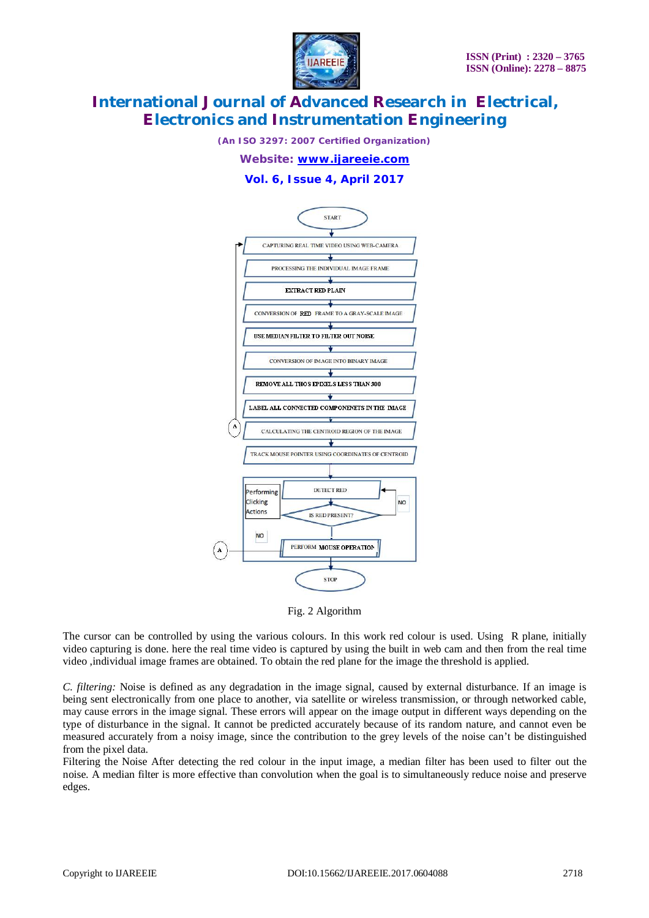

*(An ISO 3297: 2007 Certified Organization)*

*Website: [www.ijareeie.com](http://www.ijareeie.com)*

#### **Vol. 6, Issue 4, April 2017**



Fig. 2 Algorithm

The cursor can be controlled by using the various colours. In this work red colour is used. Using R plane, initially video capturing is done. here the real time video is captured by using the built in web cam and then from the real time video ,individual image frames are obtained. To obtain the red plane for the image the threshold is applied.

*C. filtering:* Noise is defined as any degradation in the image signal, caused by external disturbance. If an image is being sent electronically from one place to another, via satellite or wireless transmission, or through networked cable, may cause errors in the image signal. These errors will appear on the image output in different ways depending on the type of disturbance in the signal. It cannot be predicted accurately because of its random nature, and cannot even be measured accurately from a noisy image, since the contribution to the grey levels of the noise can't be distinguished from the pixel data.

Filtering the Noise After detecting the red colour in the input image, a median filter has been used to filter out the noise. A median filter is more effective than convolution when the goal is to simultaneously reduce noise and preserve edges.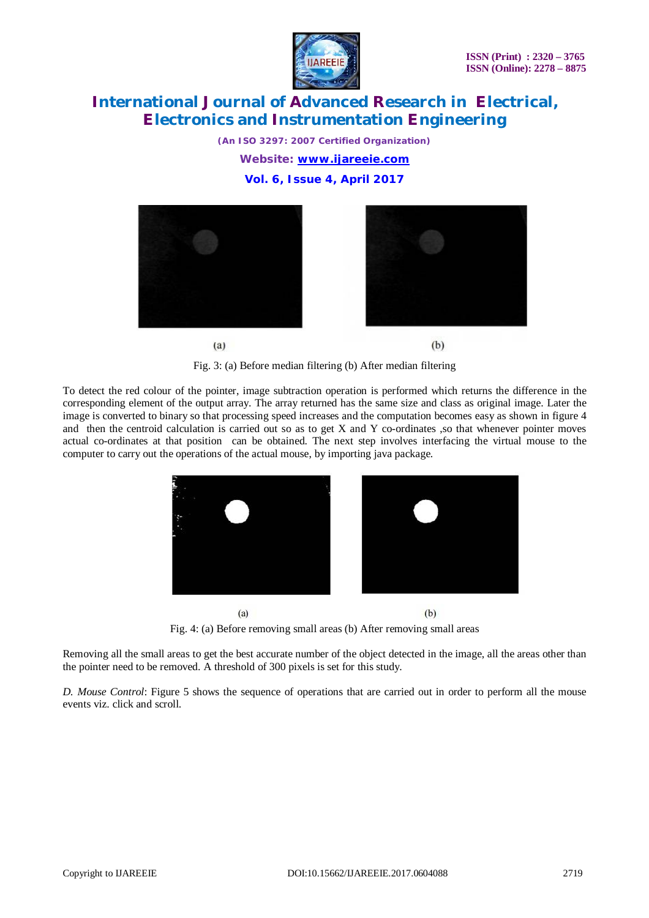

*(An ISO 3297: 2007 Certified Organization) Website: [www.ijareeie.com](http://www.ijareeie.com)* **Vol. 6, Issue 4, April 2017**



Fig. 3: (a) Before median filtering (b) After median filtering

To detect the red colour of the pointer, image subtraction operation is performed which returns the difference in the corresponding element of the output array. The array returned has the same size and class as original image. Later the image is converted to binary so that processing speed increases and the computation becomes easy as shown in figure 4 and then the centroid calculation is carried out so as to get X and Y co-ordinates ,so that whenever pointer moves actual co-ordinates at that position can be obtained. The next step involves interfacing the virtual mouse to the computer to carry out the operations of the actual mouse, by importing java package.



Fig. 4: (a) Before removing small areas (b) After removing small areas

Removing all the small areas to get the best accurate number of the object detected in the image, all the areas other than the pointer need to be removed. A threshold of 300 pixels is set for this study.

*D. Mouse Control*: Figure 5 shows the sequence of operations that are carried out in order to perform all the mouse events viz. click and scroll.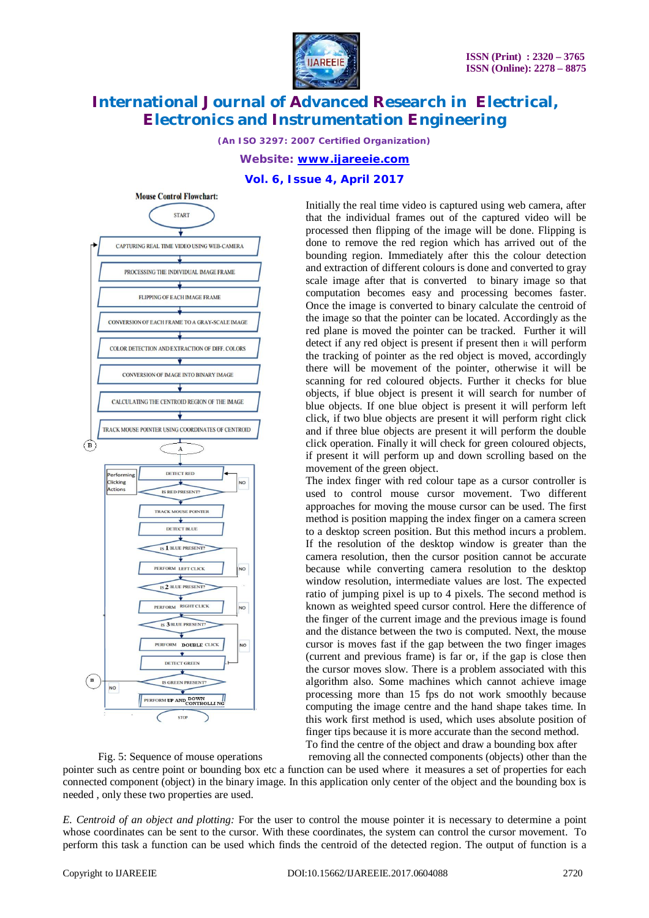

*(An ISO 3297: 2007 Certified Organization)*

*Website: [www.ijareeie.com](http://www.ijareeie.com)*

#### **Vol. 6, Issue 4, April 2017**



Initially the real time video is captured using web camera, after that the individual frames out of the captured video will be processed then flipping of the image will be done. Flipping is done to remove the red region which has arrived out of the bounding region. Immediately after this the colour detection and extraction of different colours is done and converted to gray scale image after that is converted to binary image so that computation becomes easy and processing becomes faster. Once the image is converted to binary calculate the centroid of the image so that the pointer can be located. Accordingly as the red plane is moved the pointer can be tracked. Further it will detect if any red object is present if present then it will perform the tracking of pointer as the red object is moved, accordingly there will be movement of the pointer, otherwise it will be scanning for red coloured objects. Further it checks for blue objects, if blue object is present it will search for number of blue objects. If one blue object is present it will perform left click, if two blue objects are present it will perform right click and if three blue objects are present it will perform the double click operation. Finally it will check for green coloured objects, if present it will perform up and down scrolling based on the movement of the green object.

The index finger with red colour tape as a cursor controller is used to control mouse cursor movement. Two different approaches for moving the mouse cursor can be used. The first method is position mapping the index finger on a camera screen to a desktop screen position. But this method incurs a problem. If the resolution of the desktop window is greater than the camera resolution, then the cursor position cannot be accurate because while converting camera resolution to the desktop window resolution, intermediate values are lost. The expected ratio of jumping pixel is up to 4 pixels. The second method is known as weighted speed cursor control. Here the difference of the finger of the current image and the previous image is found and the distance between the two is computed. Next, the mouse cursor is moves fast if the gap between the two finger images (current and previous frame) is far or, if the gap is close then the cursor moves slow. There is a problem associated with this algorithm also. Some machines which cannot achieve image processing more than 15 fps do not work smoothly because computing the image centre and the hand shape takes time. In this work first method is used, which uses absolute position of finger tips because it is more accurate than the second method. To find the centre of the object and draw a bounding box after

Fig. 5: Sequence of mouse operations removing all the connected components (objects) other than the pointer such as centre point or bounding box etc a function can be used where it measures a set of properties for each connected component (object) in the binary image. In this application only center of the object and the bounding box is needed , only these two properties are used.

*E. Centroid of an object and plotting:* For the user to control the mouse pointer it is necessary to determine a point whose coordinates can be sent to the cursor. With these coordinates, the system can control the cursor movement. To perform this task a function can be used which finds the centroid of the detected region. The output of function is a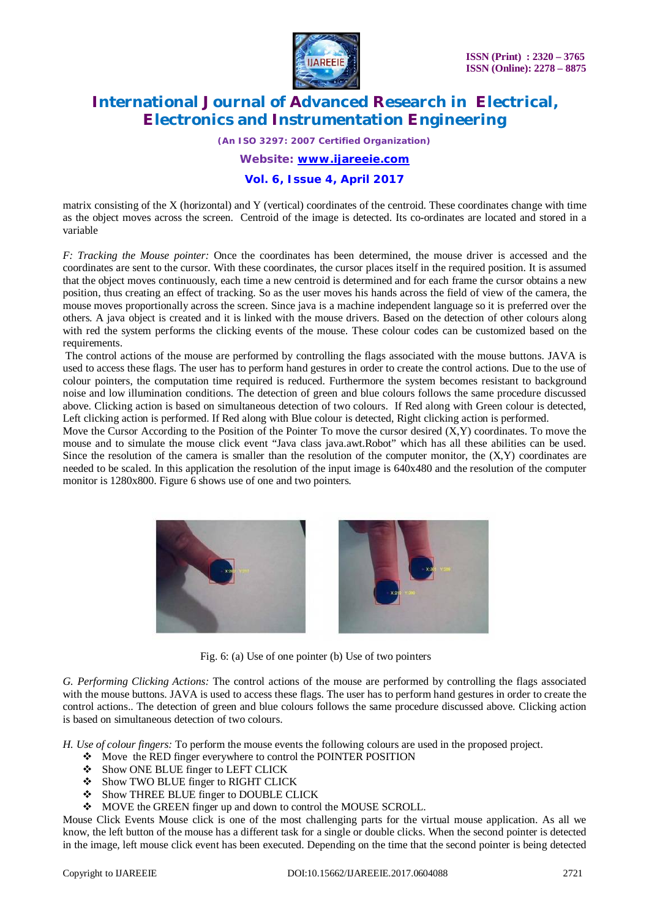

*(An ISO 3297: 2007 Certified Organization)*

*Website: [www.ijareeie.com](http://www.ijareeie.com)*

**Vol. 6, Issue 4, April 2017**

matrix consisting of the X (horizontal) and Y (vertical) coordinates of the centroid. These coordinates change with time as the object moves across the screen. Centroid of the image is detected. Its co-ordinates are located and stored in a variable

*F: Tracking the Mouse pointer:* Once the coordinates has been determined, the mouse driver is accessed and the coordinates are sent to the cursor. With these coordinates, the cursor places itself in the required position. It is assumed that the object moves continuously, each time a new centroid is determined and for each frame the cursor obtains a new position, thus creating an effect of tracking. So as the user moves his hands across the field of view of the camera, the mouse moves proportionally across the screen. Since java is a machine independent language so it is preferred over the others. A java object is created and it is linked with the mouse drivers. Based on the detection of other colours along with red the system performs the clicking events of the mouse. These colour codes can be customized based on the requirements.

The control actions of the mouse are performed by controlling the flags associated with the mouse buttons. JAVA is used to access these flags. The user has to perform hand gestures in order to create the control actions. Due to the use of colour pointers, the computation time required is reduced. Furthermore the system becomes resistant to background noise and low illumination conditions. The detection of green and blue colours follows the same procedure discussed above. Clicking action is based on simultaneous detection of two colours. If Red along with Green colour is detected, Left clicking action is performed. If Red along with Blue colour is detected, Right clicking action is performed.

Move the Cursor According to the Position of the Pointer To move the cursor desired  $(X, Y)$  coordinates. To move the mouse and to simulate the mouse click event "Java class java.awt.Robot" which has all these abilities can be used. Since the resolution of the camera is smaller than the resolution of the computer monitor, the  $(X, Y)$  coordinates are needed to be scaled. In this application the resolution of the input image is 640x480 and the resolution of the computer monitor is 1280x800. Figure 6 shows use of one and two pointers.



Fig. 6: (a) Use of one pointer (b) Use of two pointers

*G. Performing Clicking Actions:* The control actions of the mouse are performed by controlling the flags associated with the mouse buttons. JAVA is used to access these flags. The user has to perform hand gestures in order to create the control actions.. The detection of green and blue colours follows the same procedure discussed above. Clicking action is based on simultaneous detection of two colours.

*H. Use of colour fingers:* To perform the mouse events the following colours are used in the proposed project.

- Move the RED finger everywhere to control the POINTER POSITION
- Show ONE BLUE finger to LEFT CLICK
- $\div$  Show TWO BLUE finger to RIGHT CLICK
- $\triangleq$  Show THREE BLUE finger to DOUBLE CLICK
- $\div$  MOVE the GREEN finger up and down to control the MOUSE SCROLL.

Mouse Click Events Mouse click is one of the most challenging parts for the virtual mouse application. As all we know, the left button of the mouse has a different task for a single or double clicks. When the second pointer is detected in the image, left mouse click event has been executed. Depending on the time that the second pointer is being detected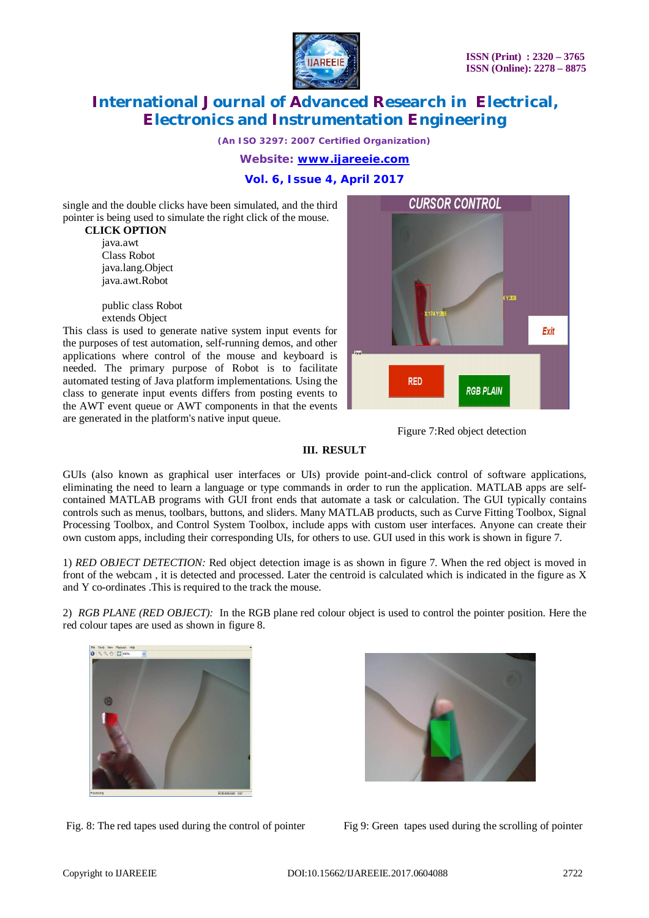

*(An ISO 3297: 2007 Certified Organization)*

*Website: [www.ijareeie.com](http://www.ijareeie.com)*

**Vol. 6, Issue 4, April 2017**

single and the double clicks have been simulated, and the third pointer is being used to simulate the right click of the mouse.

 **CLICK OPTION** java.awt Class Robot java.lang.Object java.awt.Robot

> public class Robot extends Object

This class is used to generate native system input events for the purposes of test automation, self-running demos, and other applications where control of the mouse and keyboard is needed. The primary purpose of Robot is to facilitate automated testing of Java platform implementations. Using the class to generate input events differs from posting events to the AWT event queue or AWT components in that the events are generated in the platform's native input queue.



Figure 7:Red object detection

#### **III. RESULT**

GUIs (also known as graphical user interfaces or UIs) provide point-and-click control of software applications, eliminating the need to learn a language or type commands in order to run the application. MATLAB apps are selfcontained MATLAB programs with GUI front ends that automate a task or calculation. The GUI typically contains controls such as menus, toolbars, buttons, and sliders. Many MATLAB products, such as Curve Fitting Toolbox, Signal Processing Toolbox, and Control System Toolbox, include apps with custom user interfaces. Anyone can create their own custom apps, including their corresponding UIs, for others to use. GUI used in this work is shown in figure 7.

1) *RED OBJECT DETECTION:* Red object detection image is as shown in figure 7. When the red object is moved in front of the webcam , it is detected and processed. Later the centroid is calculated which is indicated in the figure as X and Y co-ordinates .This is required to the track the mouse.

2) *RGB PLANE (RED OBJECT):* In the RGB plane red colour object is used to control the pointer position. Here the red colour tapes are used as shown in figure 8.